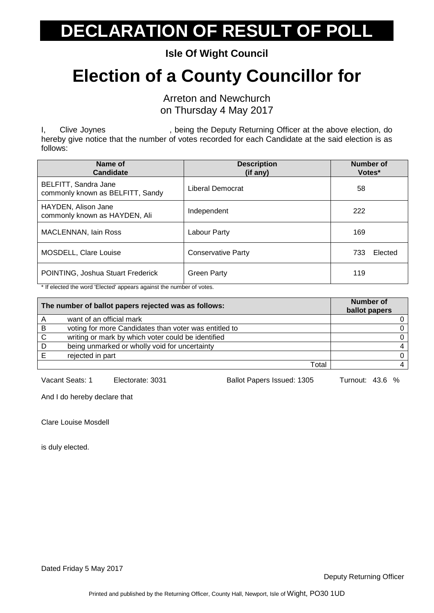**Isle Of Wight Council**

#### **Election of a County Councillor for**

Arreton and Newchurch on Thursday 4 May 2017

I, Clive Joynes . The setting the Deputy Returning Officer at the above election, do hereby give notice that the number of votes recorded for each Candidate at the said election is as follows:

| Name of<br><b>Candidate</b>                              | <b>Description</b><br>(if any) | Number of<br>Votes* |
|----------------------------------------------------------|--------------------------------|---------------------|
| BELFITT, Sandra Jane<br>commonly known as BELFITT, Sandy | Liberal Democrat               | 58                  |
| HAYDEN, Alison Jane<br>commonly known as HAYDEN, Ali     | Independent                    | 222                 |
| <b>MACLENNAN, Iain Ross</b>                              | Labour Party                   | 169                 |
| MOSDELL, Clare Louise                                    | <b>Conservative Party</b>      | Elected<br>733      |
| POINTING, Joshua Stuart Frederick                        | <b>Green Party</b>             | 119                 |

\* If elected the word 'Elected' appears against the number of votes.

| The number of ballot papers rejected was as follows: |                                                       | <b>Number of</b><br>ballot papers |
|------------------------------------------------------|-------------------------------------------------------|-----------------------------------|
|                                                      | want of an official mark                              |                                   |
| B                                                    | voting for more Candidates than voter was entitled to |                                   |
| C                                                    | writing or mark by which voter could be identified    |                                   |
| D                                                    | being unmarked or wholly void for uncertainty         |                                   |
|                                                      | rejected in part                                      |                                   |
|                                                      | Total                                                 |                                   |

Vacant Seats: 1 Electorate: 3031 Ballot Papers Issued: 1305 Turnout: 43.6 %

And I do hereby declare that

Clare Louise Mosdell

is duly elected.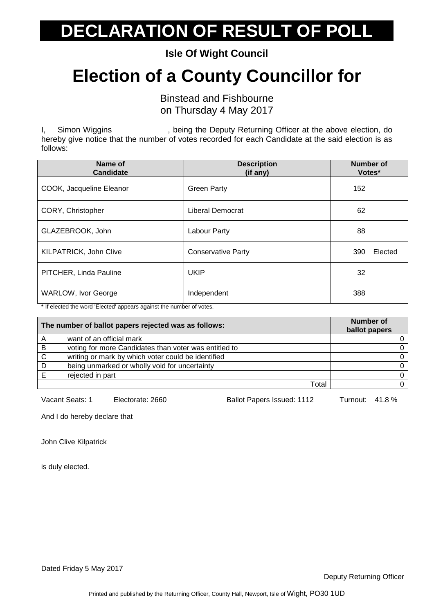**Isle Of Wight Council**

#### **Election of a County Councillor for**

Binstead and Fishbourne on Thursday 4 May 2017

I, Simon Wiggins , being the Deputy Returning Officer at the above election, do hereby give notice that the number of votes recorded for each Candidate at the said election is as follows:

| Name of<br><b>Candidate</b>                                                                 | <b>Description</b><br>(if any) | <b>Number of</b><br>Votes* |
|---------------------------------------------------------------------------------------------|--------------------------------|----------------------------|
| COOK, Jacqueline Eleanor                                                                    | <b>Green Party</b>             | 152                        |
| CORY, Christopher                                                                           | Liberal Democrat               | 62                         |
| GLAZEBROOK, John                                                                            | Labour Party                   | 88                         |
| KILPATRICK, John Clive                                                                      | <b>Conservative Party</b>      | Elected<br>390             |
| PITCHER, Linda Pauline                                                                      | <b>UKIP</b>                    | 32                         |
| WARLOW, Ivor George<br>the protected the word 'Elected' concern capinet the number of vater | Independent                    | 388                        |

If elected the word 'Elected' appears against the number of votes.

|    | The number of ballot papers rejected was as follows:  | Number of<br>ballot papers |
|----|-------------------------------------------------------|----------------------------|
| A  | want of an official mark                              |                            |
| B  | voting for more Candidates than voter was entitled to |                            |
| C  | writing or mark by which voter could be identified    |                            |
| -D | being unmarked or wholly void for uncertainty         |                            |
|    | rejected in part                                      |                            |
|    | Total                                                 |                            |

Vacant Seats: 1 Electorate: 2660 Ballot Papers Issued: 1112 Turnout: 41.8 %

And I do hereby declare that

John Clive Kilpatrick

is duly elected.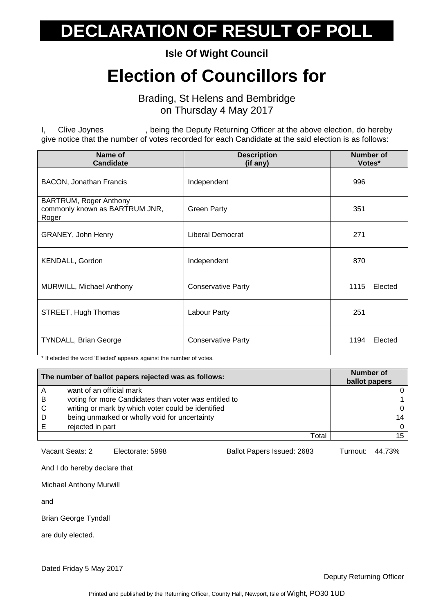**Isle Of Wight Council**

#### **Election of Councillors for**

Brading, St Helens and Bembridge on Thursday 4 May 2017

I, Clive Joynes , being the Deputy Returning Officer at the above election, do hereby give notice that the number of votes recorded for each Candidate at the said election is as follows:

| Name of<br><b>Candidate</b>                                       | <b>Description</b><br>(if any) | <b>Number of</b><br>Votes* |
|-------------------------------------------------------------------|--------------------------------|----------------------------|
| <b>BACON, Jonathan Francis</b>                                    | Independent                    | 996                        |
| BARTRUM, Roger Anthony<br>commonly known as BARTRUM JNR,<br>Roger | <b>Green Party</b>             | 351                        |
| GRANEY, John Henry                                                | Liberal Democrat               | 271                        |
| KENDALL, Gordon                                                   | Independent                    | 870                        |
| MURWILL, Michael Anthony                                          | <b>Conservative Party</b>      | 1115<br>Elected            |
| STREET, Hugh Thomas                                               | Labour Party                   | 251                        |
| <b>TYNDALL, Brian George</b>                                      | <b>Conservative Party</b>      | 1194<br>Elected            |

\* If elected the word 'Elected' appears against the number of votes.

| The number of ballot papers rejected was as follows: |                                                       | Number of<br>ballot papers |
|------------------------------------------------------|-------------------------------------------------------|----------------------------|
|                                                      | want of an official mark                              |                            |
| B                                                    | voting for more Candidates than voter was entitled to |                            |
| $\mathsf{C}$                                         | writing or mark by which voter could be identified    |                            |
| D                                                    | being unmarked or wholly void for uncertainty         | 14                         |
|                                                      | rejected in part                                      | <sup>n</sup>               |
|                                                      | Total                                                 | 15                         |

Vacant Seats: 2 Electorate: 5998 Ballot Papers Issued: 2683 Turnout: 44.73%

And I do hereby declare that

Michael Anthony Murwill

and

Brian George Tyndall

are duly elected.

Dated Friday 5 May 2017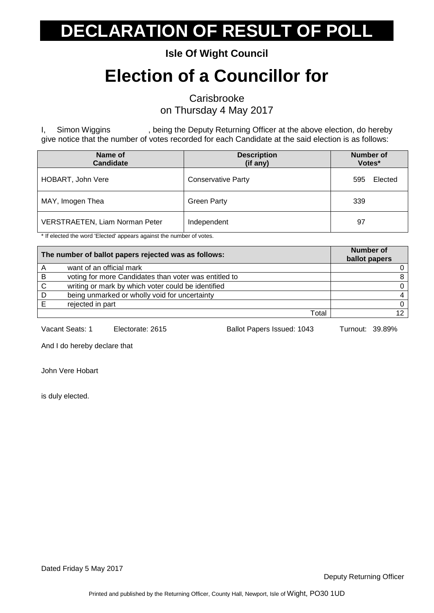**Isle Of Wight Council**

#### **Election of a Councillor for**

**Carisbrooke** 

on Thursday 4 May 2017

I, Simon Wiggins , being the Deputy Returning Officer at the above election, do hereby give notice that the number of votes recorded for each Candidate at the said election is as follows:

| Name of<br><b>Candidate</b>           | <b>Description</b><br>(if any) | <b>Number of</b><br>Votes* |
|---------------------------------------|--------------------------------|----------------------------|
| HOBART, John Vere                     | <b>Conservative Party</b>      | Elected<br>595             |
| MAY, Imogen Thea                      | <b>Green Party</b>             | 339                        |
| <b>VERSTRAETEN, Liam Norman Peter</b> | Independent                    | 97                         |

\* If elected the word 'Elected' appears against the number of votes.

| The number of ballot papers rejected was as follows: |                                                       | Number of<br>ballot papers |
|------------------------------------------------------|-------------------------------------------------------|----------------------------|
| Α                                                    | want of an official mark                              |                            |
| B                                                    | voting for more Candidates than voter was entitled to |                            |
| C                                                    | writing or mark by which voter could be identified    |                            |
| D                                                    | being unmarked or wholly void for uncertainty         | $\overline{4}$             |
|                                                      | rejected in part                                      |                            |
|                                                      | Total                                                 | 12.                        |

Vacant Seats: 1 Electorate: 2615 Ballot Papers Issued: 1043 Turnout: 39.89%

And I do hereby declare that

John Vere Hobart

is duly elected.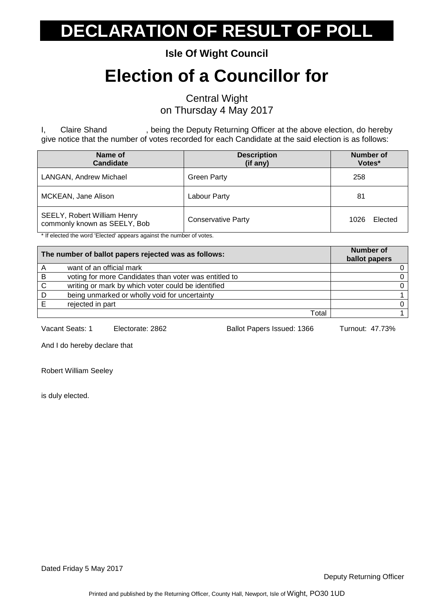**Isle Of Wight Council**

#### **Election of a Councillor for**

Central Wight on Thursday 4 May 2017

I, Claire Shand , being the Deputy Returning Officer at the above election, do hereby give notice that the number of votes recorded for each Candidate at the said election is as follows:

| Name of<br><b>Candidate</b>                                 | <b>Description</b><br>(if any) | Number of<br>Votes* |
|-------------------------------------------------------------|--------------------------------|---------------------|
| LANGAN, Andrew Michael                                      | <b>Green Party</b>             | 258                 |
| MCKEAN, Jane Alison                                         | Labour Party                   | 81                  |
| SEELY, Robert William Henry<br>commonly known as SEELY, Bob | <b>Conservative Party</b>      | Elected<br>1026     |

\* If elected the word 'Elected' appears against the number of votes.

|   | The number of ballot papers rejected was as follows:  | <b>Number of</b><br>ballot papers |
|---|-------------------------------------------------------|-----------------------------------|
|   | want of an official mark                              |                                   |
| B | voting for more Candidates than voter was entitled to |                                   |
| C | writing or mark by which voter could be identified    |                                   |
| D | being unmarked or wholly void for uncertainty         |                                   |
|   | rejected in part                                      |                                   |
|   | Total                                                 |                                   |

Vacant Seats: 1 Electorate: 2862 Ballot Papers Issued: 1366 Turnout: 47.73%

And I do hereby declare that

Robert William Seeley

is duly elected.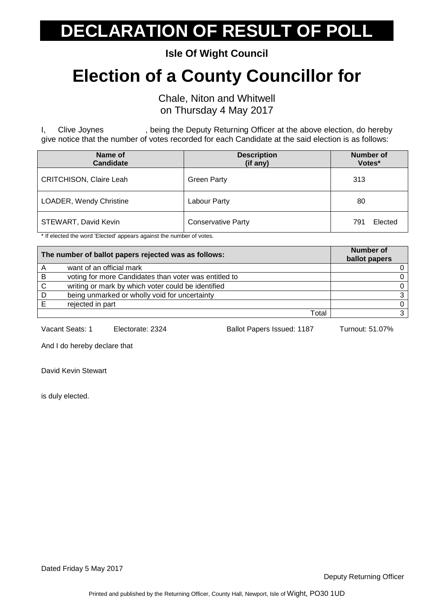**Isle Of Wight Council**

#### **Election of a County Councillor for**

Chale, Niton and Whitwell on Thursday 4 May 2017

I, Clive Joynes , being the Deputy Returning Officer at the above election, do hereby give notice that the number of votes recorded for each Candidate at the said election is as follows:

| Name of<br><b>Candidate</b>    | <b>Description</b><br>(if any) | <b>Number of</b><br>Votes* |
|--------------------------------|--------------------------------|----------------------------|
| <b>CRITCHISON, Claire Leah</b> | <b>Green Party</b>             | 313                        |
| <b>LOADER, Wendy Christine</b> | Labour Party                   | 80                         |
| STEWART, David Kevin           | <b>Conservative Party</b>      | Elected<br>791             |

\* If elected the word 'Elected' appears against the number of votes.

| The number of ballot papers rejected was as follows: |                                                       | Number of<br>ballot papers |
|------------------------------------------------------|-------------------------------------------------------|----------------------------|
|                                                      | want of an official mark                              |                            |
| B                                                    | voting for more Candidates than voter was entitled to |                            |
| C                                                    | writing or mark by which voter could be identified    |                            |
| D                                                    | being unmarked or wholly void for uncertainty         |                            |
|                                                      | rejected in part                                      |                            |
|                                                      | Total                                                 |                            |

Vacant Seats: 1 Electorate: 2324 Ballot Papers Issued: 1187 Turnout: 51.07%

And I do hereby declare that

David Kevin Stewart

is duly elected.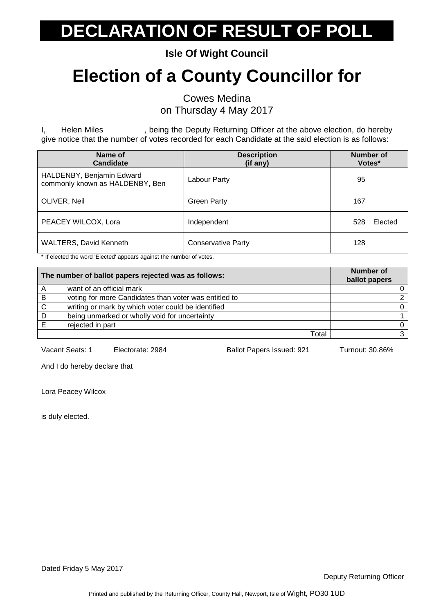**Isle Of Wight Council**

#### **Election of a County Councillor for**

Cowes Medina on Thursday 4 May 2017

I, Helen Miles , being the Deputy Returning Officer at the above election, do hereby give notice that the number of votes recorded for each Candidate at the said election is as follows:

| Name of<br><b>Candidate</b>                                  | <b>Description</b><br>(if any) | <b>Number of</b><br>Votes* |
|--------------------------------------------------------------|--------------------------------|----------------------------|
| HALDENBY, Benjamin Edward<br>commonly known as HALDENBY, Ben | Labour Party                   | 95                         |
| OLIVER, Neil                                                 | <b>Green Party</b>             | 167                        |
| PEACEY WILCOX, Lora                                          | Independent                    | Elected<br>528             |
| <b>WALTERS, David Kenneth</b>                                | <b>Conservative Party</b>      | 128                        |

\* If elected the word 'Elected' appears against the number of votes.

| The number of ballot papers rejected was as follows: |                                                       | <b>Number of</b><br>ballot papers |
|------------------------------------------------------|-------------------------------------------------------|-----------------------------------|
|                                                      | want of an official mark                              |                                   |
| -B                                                   | voting for more Candidates than voter was entitled to |                                   |
| C                                                    | writing or mark by which voter could be identified    |                                   |
| D                                                    | being unmarked or wholly void for uncertainty         |                                   |
|                                                      | rejected in part                                      |                                   |
|                                                      | Total                                                 |                                   |

Vacant Seats: 1 Electorate: 2984 Ballot Papers Issued: 921 Turnout: 30.86%

And I do hereby declare that

Lora Peacey Wilcox

is duly elected.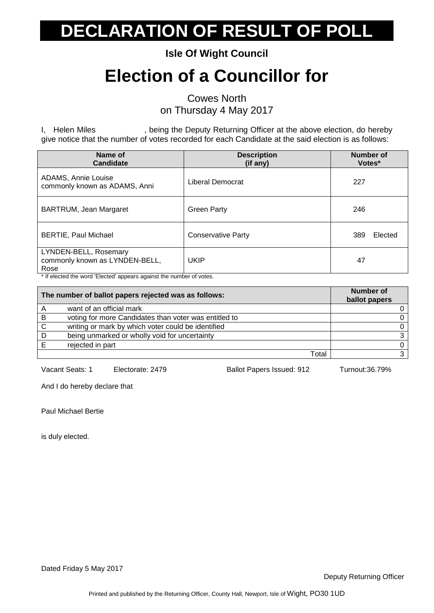**Isle Of Wight Council**

#### **Election of a Councillor for**

Cowes North

on Thursday 4 May 2017

I, Helen Miles **State 1.0 Fields**, being the Deputy Returning Officer at the above election, do hereby give notice that the number of votes recorded for each Candidate at the said election is as follows:

| Name of<br><b>Candidate</b>                                     | <b>Description</b><br>(if any) | <b>Number of</b><br>Votes* |
|-----------------------------------------------------------------|--------------------------------|----------------------------|
| ADAMS, Annie Louise<br>commonly known as ADAMS, Anni            | Liberal Democrat               | 227                        |
| BARTRUM, Jean Margaret                                          | <b>Green Party</b>             | 246                        |
| <b>BERTIE, Paul Michael</b>                                     | <b>Conservative Party</b>      | 389<br>Elected             |
| LYNDEN-BELL, Rosemary<br>commonly known as LYNDEN-BELL,<br>Rose | <b>UKIP</b>                    | 47                         |

\* If elected the word 'Elected' appears against the number of votes.

| The number of ballot papers rejected was as follows: |                                                       | <b>Number of</b><br>ballot papers |
|------------------------------------------------------|-------------------------------------------------------|-----------------------------------|
| Α                                                    | want of an official mark                              |                                   |
| B                                                    | voting for more Candidates than voter was entitled to |                                   |
| C                                                    | writing or mark by which voter could be identified    |                                   |
| D                                                    | being unmarked or wholly void for uncertainty         | ว                                 |
|                                                      | rejected in part                                      |                                   |
|                                                      | Total                                                 |                                   |

Vacant Seats: 1 Electorate: 2479 Ballot Papers Issued: 912 Turnout:36.79%

And I do hereby declare that

Paul Michael Bertie

is duly elected.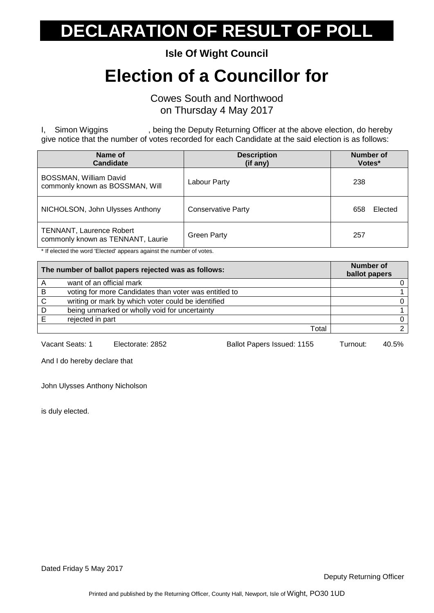**Isle Of Wight Council**

#### **Election of a Councillor for**

Cowes South and Northwood on Thursday 4 May 2017

I, Simon Wiggins , being the Deputy Returning Officer at the above election, do hereby give notice that the number of votes recorded for each Candidate at the said election is as follows:

| Name of<br><b>Candidate</b>                                          | <b>Description</b><br>(if any) | Number of<br>Votes* |
|----------------------------------------------------------------------|--------------------------------|---------------------|
| BOSSMAN, William David<br>commonly known as BOSSMAN, Will            | Labour Party                   | 238                 |
| NICHOLSON, John Ulysses Anthony                                      | <b>Conservative Party</b>      | 658<br>Elected      |
| <b>TENNANT, Laurence Robert</b><br>commonly known as TENNANT, Laurie | <b>Green Party</b>             | 257                 |

\* If elected the word 'Elected' appears against the number of votes.

| The number of ballot papers rejected was as follows: |                                                       | <b>Number of</b><br>ballot papers |
|------------------------------------------------------|-------------------------------------------------------|-----------------------------------|
|                                                      | want of an official mark                              |                                   |
| B                                                    | voting for more Candidates than voter was entitled to |                                   |
| C                                                    | writing or mark by which voter could be identified    |                                   |
| D                                                    | being unmarked or wholly void for uncertainty         |                                   |
|                                                      | rejected in part                                      |                                   |
|                                                      | Total                                                 |                                   |

Vacant Seats: 1 Electorate: 2852 Ballot Papers Issued: 1155 Turnout: 40.5%

And I do hereby declare that

John Ulysses Anthony Nicholson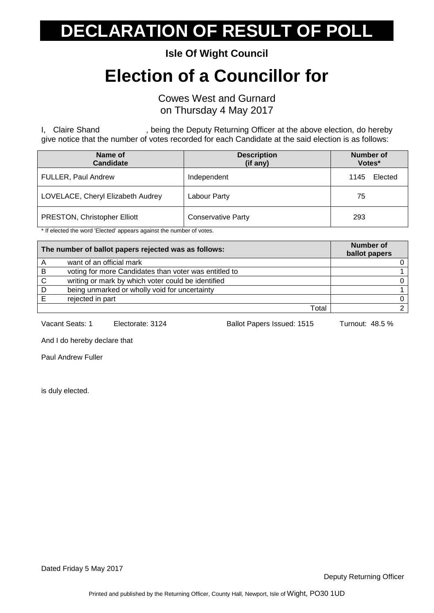**Isle Of Wight Council**

#### **Election of a Councillor for**

Cowes West and Gurnard on Thursday 4 May 2017

I, Claire Shand , being the Deputy Returning Officer at the above election, do hereby give notice that the number of votes recorded for each Candidate at the said election is as follows:

| Name of<br><b>Candidate</b>       | <b>Description</b><br>(if any) | <b>Number of</b><br>Votes* |         |
|-----------------------------------|--------------------------------|----------------------------|---------|
| <b>FULLER, Paul Andrew</b>        | Independent                    | 1145                       | Elected |
| LOVELACE, Cheryl Elizabeth Audrey | Labour Party                   | 75                         |         |
| PRESTON, Christopher Elliott      | <b>Conservative Party</b>      | 293                        |         |

\* If elected the word 'Elected' appears against the number of votes.

| The number of ballot papers rejected was as follows: |                                                       | Number of<br>ballot papers |
|------------------------------------------------------|-------------------------------------------------------|----------------------------|
|                                                      | want of an official mark                              |                            |
| B                                                    | voting for more Candidates than voter was entitled to |                            |
| C                                                    | writing or mark by which voter could be identified    |                            |
| D                                                    | being unmarked or wholly void for uncertainty         |                            |
|                                                      | rejected in part                                      |                            |
|                                                      | Total                                                 |                            |

Vacant Seats: 1 Electorate: 3124 Ballot Papers Issued: 1515 Turnout: 48.5 %

And I do hereby declare that

Paul Andrew Fuller

is duly elected.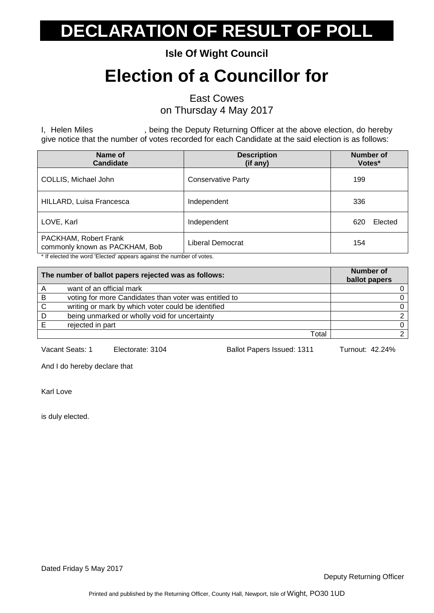**Isle Of Wight Council**

#### **Election of a Councillor for**

East Cowes

on Thursday 4 May 2017

I, Helen Miles , being the Deputy Returning Officer at the above election, do hereby give notice that the number of votes recorded for each Candidate at the said election is as follows:

| Name of<br><b>Candidate</b>                             | <b>Description</b><br>(if any) | <b>Number of</b><br>Votes* |
|---------------------------------------------------------|--------------------------------|----------------------------|
| COLLIS, Michael John                                    | <b>Conservative Party</b>      | 199                        |
| HILLARD, Luisa Francesca                                | Independent                    | 336                        |
| LOVE, Karl                                              | Independent                    | Elected<br>62C             |
| PACKHAM, Robert Frank<br>commonly known as PACKHAM, Bob | Liberal Democrat               | 154                        |

\* If elected the word 'Elected' appears against the number of votes.

| The number of ballot papers rejected was as follows: |                                                       | <b>Number of</b><br>ballot papers |
|------------------------------------------------------|-------------------------------------------------------|-----------------------------------|
|                                                      | want of an official mark                              |                                   |
| B                                                    | voting for more Candidates than voter was entitled to |                                   |
| C                                                    | writing or mark by which voter could be identified    |                                   |
| D                                                    | being unmarked or wholly void for uncertainty         |                                   |
|                                                      | rejected in part                                      |                                   |
|                                                      | Total                                                 |                                   |

Vacant Seats: 1 Electorate: 3104 Ballot Papers Issued: 1311 Turnout: 42.24%

And I do hereby declare that

Karl Love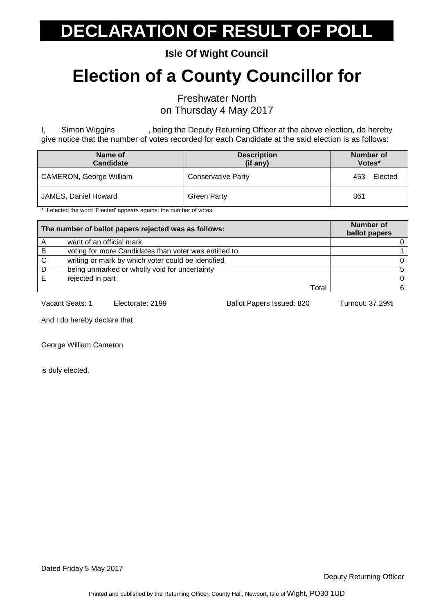**Isle Of Wight Council**

#### **Election of a County Councillor for**

Freshwater North on Thursday 4 May 2017

I, Simon Wiggins , being the Deputy Returning Officer at the above election, do hereby give notice that the number of votes recorded for each Candidate at the said election is as follows:

| Name of<br><b>Candidate</b>                                                                                    | <b>Description</b><br>(if any) | Number of<br>Votes* |
|----------------------------------------------------------------------------------------------------------------|--------------------------------|---------------------|
| CAMERON, George William                                                                                        | <b>Conservative Party</b>      | Elected<br>453      |
| JAMES, Daniel Howard<br>$\mathbf{A}$ , and $\mathbf{A}$ , and $\mathbf{A}$ , and $\mathbf{A}$<br>$\cdots$<br>. | <b>Green Party</b>             | 361                 |

\* If elected the word 'Elected' appears against the number of votes.

| The number of ballot papers rejected was as follows: |                                                       | Number of<br>ballot papers |
|------------------------------------------------------|-------------------------------------------------------|----------------------------|
|                                                      | want of an official mark                              |                            |
| B                                                    | voting for more Candidates than voter was entitled to |                            |
| C                                                    | writing or mark by which voter could be identified    |                            |
| D                                                    | being unmarked or wholly void for uncertainty         |                            |
|                                                      | rejected in part                                      |                            |
|                                                      | Total                                                 |                            |

Vacant Seats: 1 Electorate: 2199 Ballot Papers Issued: 820 Turnout: 37.29%

And I do hereby declare that

George William Cameron

is duly elected.

Dated Friday 5 May 2017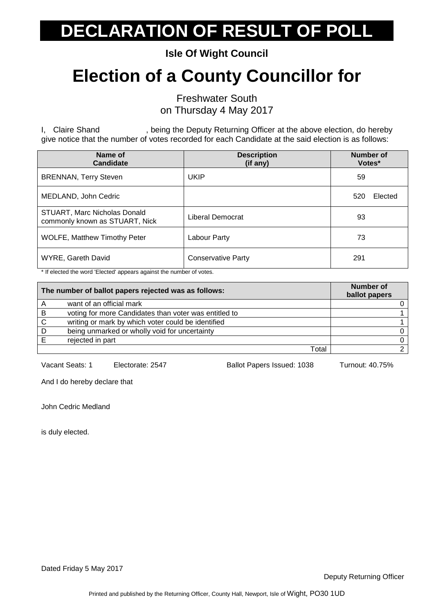**Isle Of Wight Council**

#### **Election of a County Councillor for**

Freshwater South on Thursday 4 May 2017

I, Claire Shand , being the Deputy Returning Officer at the above election, do hereby give notice that the number of votes recorded for each Candidate at the said election is as follows:

| Name of<br><b>Candidate</b>                                    | <b>Description</b><br>(if any) | Number of<br>Votes* |
|----------------------------------------------------------------|--------------------------------|---------------------|
| <b>BRENNAN, Terry Steven</b>                                   | <b>UKIP</b>                    | 59                  |
| MEDLAND, John Cedric                                           |                                | Elected<br>520      |
| STUART, Marc Nicholas Donald<br>commonly known as STUART, Nick | Liberal Democrat               | 93                  |
| <b>WOLFE, Matthew Timothy Peter</b>                            | Labour Party                   | 73                  |
| <b>WYRE, Gareth David</b>                                      | <b>Conservative Party</b>      | 291                 |

\* If elected the word 'Elected' appears against the number of votes.

|   | The number of ballot papers rejected was as follows:  | <b>Number of</b><br>ballot papers |
|---|-------------------------------------------------------|-----------------------------------|
|   | want of an official mark                              |                                   |
| B | voting for more Candidates than voter was entitled to |                                   |
| C | writing or mark by which voter could be identified    |                                   |
| D | being unmarked or wholly void for uncertainty         |                                   |
|   | rejected in part                                      |                                   |
|   | Total                                                 |                                   |

Vacant Seats: 1 Electorate: 2547 Ballot Papers Issued: 1038 Turnout: 40.75%

And I do hereby declare that

John Cedric Medland

is duly elected.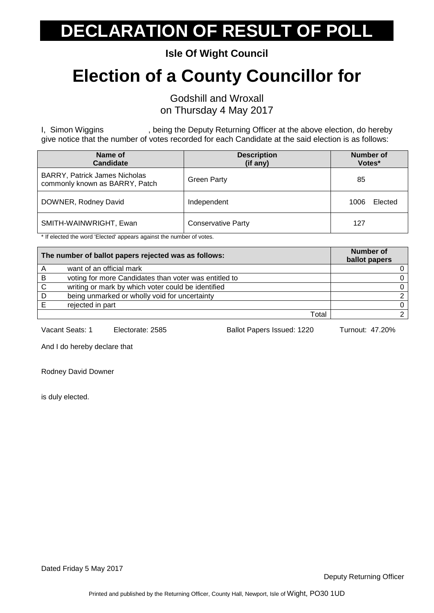**Isle Of Wight Council**

#### **Election of a County Councillor for**

Godshill and Wroxall on Thursday 4 May 2017

I, Simon Wiggins , being the Deputy Returning Officer at the above election, do hereby give notice that the number of votes recorded for each Candidate at the said election is as follows:

| Name of<br><b>Candidate</b>                                            | <b>Description</b><br>(if any) | <b>Number of</b><br>Votes* |
|------------------------------------------------------------------------|--------------------------------|----------------------------|
| <b>BARRY, Patrick James Nicholas</b><br>commonly known as BARRY, Patch | <b>Green Party</b>             | 85                         |
| DOWNER, Rodney David                                                   | Independent                    | Elected<br>1006            |
| SMITH-WAINWRIGHT, Ewan                                                 | <b>Conservative Party</b>      | 127                        |

\* If elected the word 'Elected' appears against the number of votes.

| The number of ballot papers rejected was as follows: |                                                       | <b>Number of</b><br>ballot papers |
|------------------------------------------------------|-------------------------------------------------------|-----------------------------------|
|                                                      | want of an official mark                              |                                   |
| B                                                    | voting for more Candidates than voter was entitled to |                                   |
| C                                                    | writing or mark by which voter could be identified    |                                   |
| D                                                    | being unmarked or wholly void for uncertainty         |                                   |
|                                                      | rejected in part                                      |                                   |
|                                                      | Total                                                 |                                   |

Vacant Seats: 1 Electorate: 2585 Ballot Papers Issued: 1220 Turnout: 47.20%

And I do hereby declare that

Rodney David Downer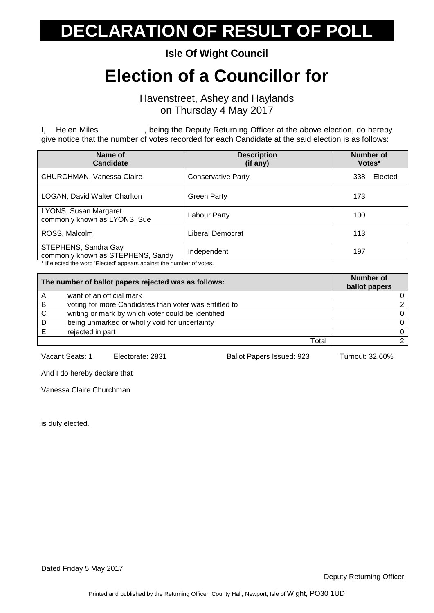**Isle Of Wight Council**

#### **Election of a Councillor for**

Havenstreet, Ashey and Haylands on Thursday 4 May 2017

I, Helen Miles , being the Deputy Returning Officer at the above election, do hereby give notice that the number of votes recorded for each Candidate at the said election is as follows:

| Name of<br><b>Candidate</b>                               | <b>Description</b><br>(if any) | <b>Number of</b><br>Votes* |
|-----------------------------------------------------------|--------------------------------|----------------------------|
| CHURCHMAN, Vanessa Claire                                 | <b>Conservative Party</b>      | 338<br>Elected             |
| LOGAN, David Walter Charlton                              | <b>Green Party</b>             | 173                        |
| LYONS, Susan Margaret<br>commonly known as LYONS, Sue     | Labour Party                   | 100                        |
| ROSS, Malcolm                                             | Liberal Democrat               | 113                        |
| STEPHENS, Sandra Gay<br>commonly known as STEPHENS, Sandy | Independent                    | 197                        |

If elected the word 'Elected' appears against the number of votes.

| The number of ballot papers rejected was as follows: |                                                       | Number of<br>ballot papers |
|------------------------------------------------------|-------------------------------------------------------|----------------------------|
|                                                      | want of an official mark                              |                            |
| B                                                    | voting for more Candidates than voter was entitled to |                            |
| <sub>C</sub>                                         | writing or mark by which voter could be identified    |                            |
| D                                                    | being unmarked or wholly void for uncertainty         |                            |
|                                                      | rejected in part                                      |                            |
|                                                      | Total                                                 |                            |

Vacant Seats: 1 Electorate: 2831 Ballot Papers Issued: 923 Turnout: 32.60%

And I do hereby declare that

Vanessa Claire Churchman

is duly elected.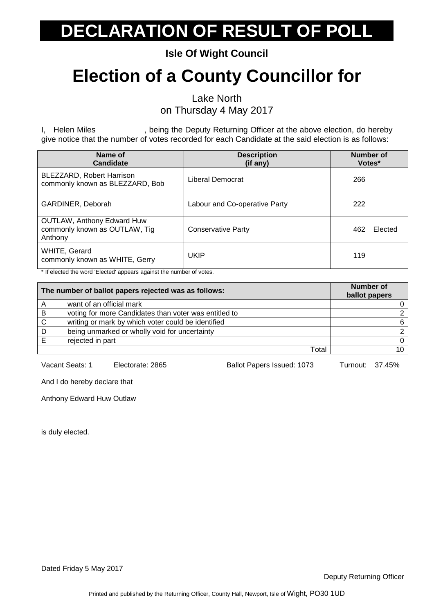**Isle Of Wight Council**

#### **Election of a County Councillor for**

Lake North

on Thursday 4 May 2017

I, Helen Miles **State 1.** Being the Deputy Returning Officer at the above election, do hereby give notice that the number of votes recorded for each Candidate at the said election is as follows:

| Name of<br>Candidate                                                          | <b>Description</b><br>(if any) | Number of<br>Votes* |
|-------------------------------------------------------------------------------|--------------------------------|---------------------|
| BLEZZARD, Robert Harrison<br>commonly known as BLEZZARD, Bob                  | Liberal Democrat               | 266                 |
| GARDINER, Deborah                                                             | Labour and Co-operative Party  | 222                 |
| <b>OUTLAW, Anthony Edward Huw</b><br>commonly known as OUTLAW, Tig<br>Anthony | <b>Conservative Party</b>      | 462<br>Elected      |
| WHITE, Gerard<br>commonly known as WHITE, Gerry                               | <b>UKIP</b>                    | 119                 |

\* If elected the word 'Elected' appears against the number of votes.

| The number of ballot papers rejected was as follows: |                                                       | Number of<br>ballot papers |
|------------------------------------------------------|-------------------------------------------------------|----------------------------|
|                                                      | want of an official mark                              |                            |
| B                                                    | voting for more Candidates than voter was entitled to |                            |
| C                                                    | writing or mark by which voter could be identified    |                            |
| D                                                    | being unmarked or wholly void for uncertainty         |                            |
|                                                      | rejected in part                                      |                            |
|                                                      | Total                                                 |                            |

Vacant Seats: 1 Electorate: 2865 Ballot Papers Issued: 1073 Turnout: 37.45%

And I do hereby declare that

Anthony Edward Huw Outlaw

is duly elected.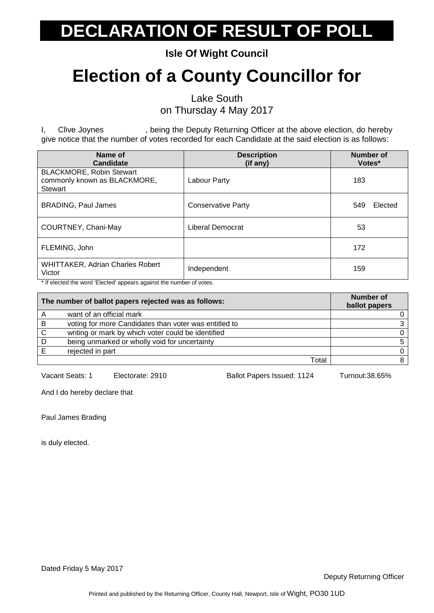**Isle Of Wight Council**

#### **Election of a County Councillor for**

Lake South

on Thursday 4 May 2017

I, Clive Joynes , being the Deputy Returning Officer at the above election, do hereby give notice that the number of votes recorded for each Candidate at the said election is as follows:

| Name of<br>Candidate                                                       | <b>Description</b><br>(if any) | <b>Number of</b><br>Votes* |
|----------------------------------------------------------------------------|--------------------------------|----------------------------|
| <b>BLACKMORE, Robin Stewart</b><br>commonly known as BLACKMORE,<br>Stewart | Labour Party                   | 183                        |
| <b>BRADING, Paul James</b>                                                 | <b>Conservative Party</b>      | 549<br>Elected             |
| COURTNEY, Chani-May                                                        | Liberal Democrat               | 53                         |
| FLEMING, John                                                              |                                | 172                        |
| <b>WHITTAKER, Adrian Charles Robert</b><br>Victor                          | Independent                    | 159                        |

\* If elected the word 'Elected' appears against the number of votes.

|   | The number of ballot papers rejected was as follows:  | <b>Number of</b><br>ballot papers |
|---|-------------------------------------------------------|-----------------------------------|
|   | want of an official mark                              |                                   |
| B | voting for more Candidates than voter was entitled to |                                   |
| C | writing or mark by which voter could be identified    |                                   |
| D | being unmarked or wholly void for uncertainty         |                                   |
|   | rejected in part                                      |                                   |
|   | Total                                                 |                                   |

Vacant Seats: 1 Electorate: 2910 Ballot Papers Issued: 1124 Turnout:38.65%

And I do hereby declare that

Paul James Brading

is duly elected.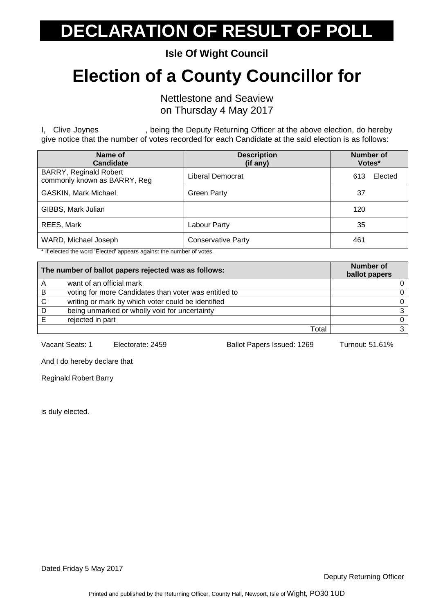**Isle Of Wight Council**

#### **Election of a County Councillor for**

Nettlestone and Seaview on Thursday 4 May 2017

I, Clive Joynes , being the Deputy Returning Officer at the above election, do hereby give notice that the number of votes recorded for each Candidate at the said election is as follows:

| Name of<br>Candidate                                          | <b>Description</b><br>(if any) | <b>Number of</b><br>Votes* |
|---------------------------------------------------------------|--------------------------------|----------------------------|
| <b>BARRY, Reginald Robert</b><br>commonly known as BARRY, Reg | Liberal Democrat               | 613<br>Elected             |
| <b>GASKIN, Mark Michael</b>                                   | <b>Green Party</b>             | 37                         |
| GIBBS, Mark Julian                                            |                                | 120                        |
| REES, Mark                                                    | Labour Party                   | 35                         |
| WARD, Michael Joseph                                          | <b>Conservative Party</b>      | 461                        |

\* If elected the word 'Elected' appears against the number of votes.

| The number of ballot papers rejected was as follows: |                                                       | <b>Number of</b><br>ballot papers |
|------------------------------------------------------|-------------------------------------------------------|-----------------------------------|
|                                                      | want of an official mark                              |                                   |
| -B                                                   | voting for more Candidates than voter was entitled to |                                   |
| C.                                                   | writing or mark by which voter could be identified    |                                   |
| D                                                    | being unmarked or wholly void for uncertainty         | 3                                 |
|                                                      | rejected in part                                      |                                   |
|                                                      | Total                                                 |                                   |

Vacant Seats: 1 Electorate: 2459 Ballot Papers Issued: 1269 Turnout: 51.61%

And I do hereby declare that

Reginald Robert Barry

is duly elected.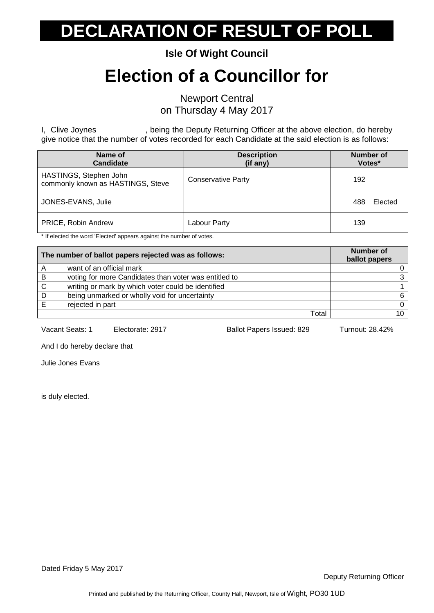**Isle Of Wight Council**

#### **Election of a Councillor for**

Newport Central on Thursday 4 May 2017

I, Clive Joynes , being the Deputy Returning Officer at the above election, do hereby give notice that the number of votes recorded for each Candidate at the said election is as follows:

| Name of<br><b>Candidate</b>                                 | <b>Description</b><br>(if any) | Number of<br>Votes* |
|-------------------------------------------------------------|--------------------------------|---------------------|
| HASTINGS, Stephen John<br>commonly known as HASTINGS, Steve | <b>Conservative Party</b>      | 192                 |
| JONES-EVANS, Julie                                          |                                | Elected<br>488      |
| PRICE, Robin Andrew                                         | Labour Party                   | 139                 |

\* If elected the word 'Elected' appears against the number of votes.

| The number of ballot papers rejected was as follows: |                                                       | <b>Number of</b><br>ballot papers |
|------------------------------------------------------|-------------------------------------------------------|-----------------------------------|
|                                                      | want of an official mark                              |                                   |
| B                                                    | voting for more Candidates than voter was entitled to | ີ                                 |
| C                                                    | writing or mark by which voter could be identified    |                                   |
| D                                                    | being unmarked or wholly void for uncertainty         | 6                                 |
|                                                      | rejected in part                                      |                                   |
|                                                      | Total                                                 | 10                                |

Vacant Seats: 1 Electorate: 2917 Ballot Papers Issued: 829 Turnout: 28.42%

And I do hereby declare that

Julie Jones Evans

is duly elected.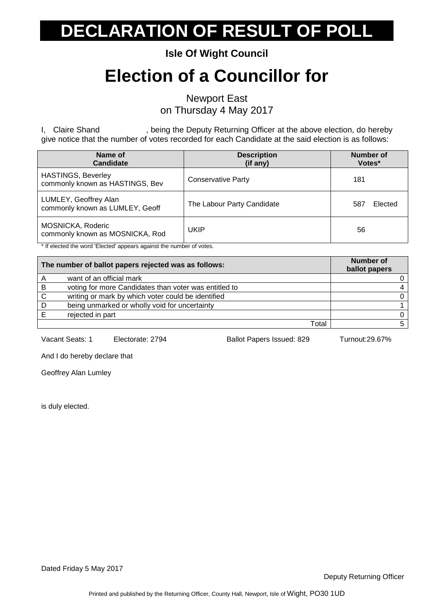**Isle Of Wight Council**

#### **Election of a Councillor for**

Newport East on Thursday 4 May 2017

I, Claire Shand , being the Deputy Returning Officer at the above election, do hereby give notice that the number of votes recorded for each Candidate at the said election is as follows:

| Name of<br><b>Candidate</b>                                  | <b>Description</b><br>(if any) | Number of<br>Votes* |
|--------------------------------------------------------------|--------------------------------|---------------------|
| <b>HASTINGS, Beverley</b><br>commonly known as HASTINGS, Bev | <b>Conservative Party</b>      | 181                 |
| LUMLEY, Geoffrey Alan<br>commonly known as LUMLEY, Geoff     | The Labour Party Candidate     | Elected<br>587      |
| MOSNICKA, Roderic<br>commonly known as MOSNICKA, Rod         | UKIP                           | 56                  |

\* If elected the word 'Elected' appears against the number of votes.

| The number of ballot papers rejected was as follows: |                                                       | <b>Number of</b><br>ballot papers |
|------------------------------------------------------|-------------------------------------------------------|-----------------------------------|
|                                                      | want of an official mark                              |                                   |
| B                                                    | voting for more Candidates than voter was entitled to |                                   |
| - C                                                  | writing or mark by which voter could be identified    |                                   |
|                                                      | being unmarked or wholly void for uncertainty         |                                   |
|                                                      | rejected in part                                      |                                   |
|                                                      | Total                                                 |                                   |

Vacant Seats: 1 Electorate: 2794 Ballot Papers Issued: 829 Turnout:29.67%

And I do hereby declare that

Geoffrey Alan Lumley

is duly elected.

Dated Friday 5 May 2017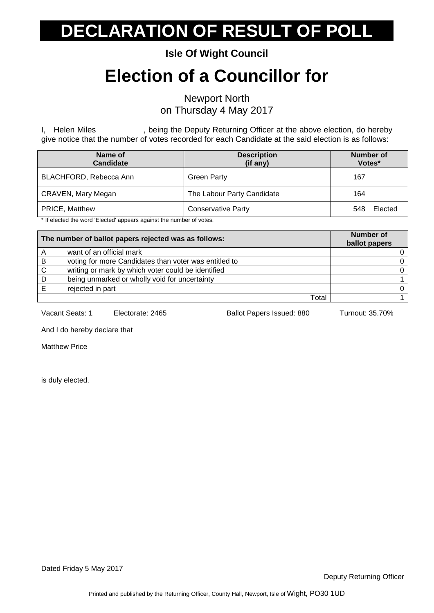**Isle Of Wight Council**

#### **Election of a Councillor for**

Newport North on Thursday 4 May 2017

I, Helen Miles , being the Deputy Returning Officer at the above election, do hereby give notice that the number of votes recorded for each Candidate at the said election is as follows:

| Name of<br><b>Candidate</b> | <b>Description</b><br>(if any) | Number of<br>Votes* |
|-----------------------------|--------------------------------|---------------------|
| BLACHFORD, Rebecca Ann      | <b>Green Party</b>             | 167                 |
| CRAVEN, Mary Megan          | The Labour Party Candidate     | 164                 |
| PRICE, Matthew              | <b>Conservative Party</b>      | Elected<br>548      |

\* If elected the word 'Elected' appears against the number of votes.

| The number of ballot papers rejected was as follows: |                                                       | <b>Number of</b><br>ballot papers |
|------------------------------------------------------|-------------------------------------------------------|-----------------------------------|
| A                                                    | want of an official mark                              |                                   |
| B                                                    | voting for more Candidates than voter was entitled to |                                   |
| C.                                                   | writing or mark by which voter could be identified    |                                   |
| D                                                    | being unmarked or wholly void for uncertainty         |                                   |
|                                                      | rejected in part                                      |                                   |
|                                                      | Total                                                 |                                   |

Vacant Seats: 1 Electorate: 2465 Ballot Papers Issued: 880 Turnout: 35.70%

And I do hereby declare that

Matthew Price

is duly elected.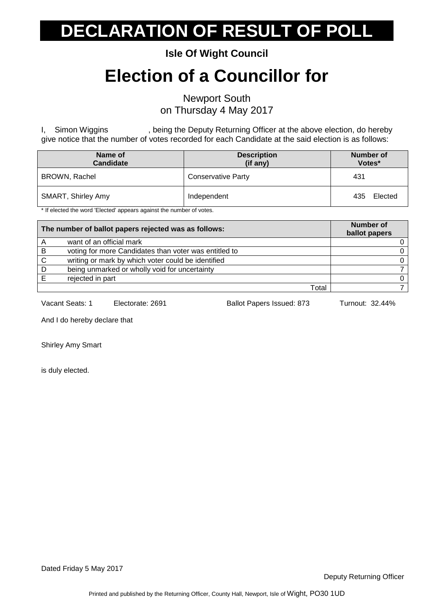**Isle Of Wight Council**

#### **Election of a Councillor for**

Newport South on Thursday 4 May 2017

I, Simon Wiggins , being the Deputy Returning Officer at the above election, do hereby give notice that the number of votes recorded for each Candidate at the said election is as follows:

| Name of<br><b>Candidate</b>                                                                               | <b>Description</b><br>(if any) | Number of<br>Votes* |
|-----------------------------------------------------------------------------------------------------------|--------------------------------|---------------------|
| BROWN, Rachel                                                                                             | <b>Conservative Party</b>      | 431                 |
| SMART, Shirley Amy<br>المتعقب فمستحا ومستنف والعامية ومستمسم وسيوم مستحال المستنب والعام والمتحدث والمتلق | Independent                    | Elected<br>435      |

If elected the word 'Elected' appears against the number of votes.

| The number of ballot papers rejected was as follows: |                                                       | Number of<br>ballot papers |
|------------------------------------------------------|-------------------------------------------------------|----------------------------|
| Α                                                    | want of an official mark                              |                            |
| B                                                    | voting for more Candidates than voter was entitled to |                            |
| C                                                    | writing or mark by which voter could be identified    |                            |
| D                                                    | being unmarked or wholly void for uncertainty         |                            |
|                                                      | rejected in part                                      |                            |
|                                                      | Total                                                 |                            |

Vacant Seats: 1 Electorate: 2691 Ballot Papers Issued: 873 Turnout: 32.44%

And I do hereby declare that

Shirley Amy Smart

is duly elected.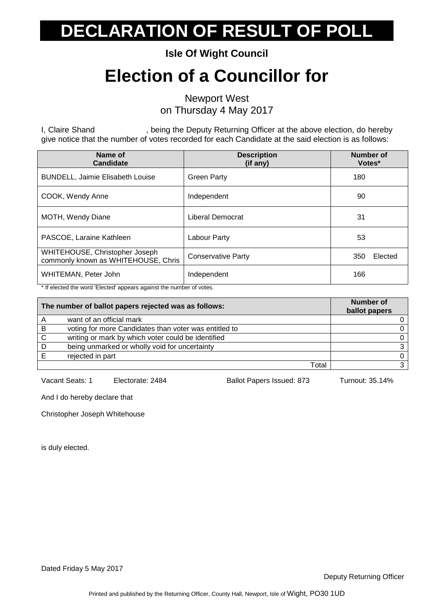**Isle Of Wight Council**

#### **Election of a Councillor for**

Newport West on Thursday 4 May 2017

I, Claire Shand , being the Deputy Returning Officer at the above election, do hereby give notice that the number of votes recorded for each Candidate at the said election is as follows:

| Name of<br><b>Candidate</b>                                           | <b>Description</b><br>(if any) | <b>Number of</b><br>Votes* |
|-----------------------------------------------------------------------|--------------------------------|----------------------------|
| <b>BUNDELL, Jaimie Elisabeth Louise</b>                               | <b>Green Party</b>             | 180                        |
| COOK, Wendy Anne                                                      | Independent                    | 90                         |
| <b>MOTH, Wendy Diane</b>                                              | Liberal Democrat               | 31                         |
| PASCOE, Laraine Kathleen                                              | Labour Party                   | 53                         |
| WHITEHOUSE, Christopher Joseph<br>commonly known as WHITEHOUSE, Chris | <b>Conservative Party</b>      | Elected<br>350             |
| WHITEMAN, Peter John                                                  | Independent                    | 166                        |

\* If elected the word 'Elected' appears against the number of votes.

| The number of ballot papers rejected was as follows: |                                                       | <b>Number of</b><br>ballot papers |
|------------------------------------------------------|-------------------------------------------------------|-----------------------------------|
|                                                      | want of an official mark                              |                                   |
| B                                                    | voting for more Candidates than voter was entitled to |                                   |
| C                                                    | writing or mark by which voter could be identified    |                                   |
| D                                                    | being unmarked or wholly void for uncertainty         |                                   |
|                                                      | rejected in part                                      |                                   |
|                                                      | Total                                                 |                                   |

Vacant Seats: 1 Electorate: 2484 Ballot Papers Issued: 873 Turnout: 35.14%

And I do hereby declare that

Christopher Joseph Whitehouse

is duly elected.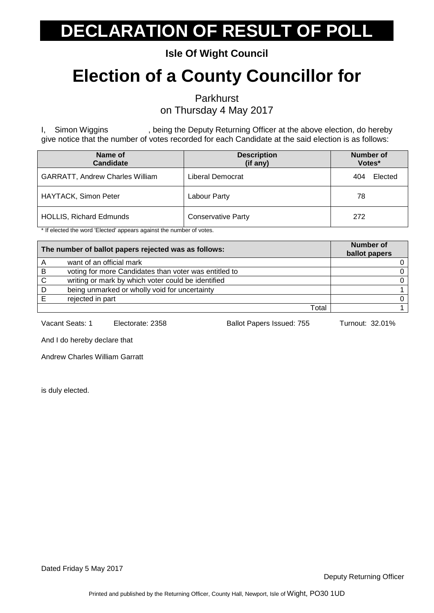**Isle Of Wight Council**

#### **Election of a County Councillor for**

Parkhurst

on Thursday 4 May 2017

I, Simon Wiggins , being the Deputy Returning Officer at the above election, do hereby give notice that the number of votes recorded for each Candidate at the said election is as follows:

| Name of<br><b>Candidate</b>            | <b>Description</b><br>(if any) | Number of<br>Votes* |         |
|----------------------------------------|--------------------------------|---------------------|---------|
| <b>GARRATT, Andrew Charles William</b> | Liberal Democrat               | 404                 | Elected |
| <b>HAYTACK, Simon Peter</b>            | Labour Party                   | 78                  |         |
| <b>HOLLIS, Richard Edmunds</b>         | <b>Conservative Party</b>      | 272                 |         |

\* If elected the word 'Elected' appears against the number of votes.

| The number of ballot papers rejected was as follows: |                                                       | <b>Number of</b><br>ballot papers |
|------------------------------------------------------|-------------------------------------------------------|-----------------------------------|
|                                                      | want of an official mark                              |                                   |
| B                                                    | voting for more Candidates than voter was entitled to |                                   |
| C                                                    | writing or mark by which voter could be identified    |                                   |
| D                                                    | being unmarked or wholly void for uncertainty         |                                   |
|                                                      | rejected in part                                      |                                   |
|                                                      | Total                                                 |                                   |

Vacant Seats: 1 Electorate: 2358 Ballot Papers Issued: 755 Turnout: 32.01%

And I do hereby declare that

Andrew Charles William Garratt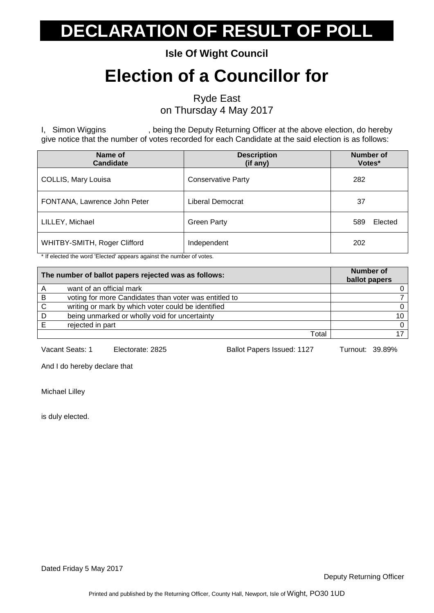**Isle Of Wight Council**

#### **Election of a Councillor for**

Ryde East

on Thursday 4 May 2017

I, Simon Wiggins , being the Deputy Returning Officer at the above election, do hereby give notice that the number of votes recorded for each Candidate at the said election is as follows:

| Name of<br><b>Candidate</b>  | <b>Description</b><br>(if any) | <b>Number of</b><br>Votes* |
|------------------------------|--------------------------------|----------------------------|
| COLLIS, Mary Louisa          | <b>Conservative Party</b>      | 282                        |
| FONTANA, Lawrence John Peter | Liberal Democrat               | 37                         |
| LILLEY, Michael              | <b>Green Party</b>             | Elected<br>589             |
| WHITBY-SMITH, Roger Clifford | Independent                    | 202                        |

\* If elected the word 'Elected' appears against the number of votes.

|    | The number of ballot papers rejected was as follows:  | <b>Number of</b><br>ballot papers |
|----|-------------------------------------------------------|-----------------------------------|
|    | want of an official mark                              |                                   |
| -B | voting for more Candidates than voter was entitled to |                                   |
| C  | writing or mark by which voter could be identified    |                                   |
| D  | being unmarked or wholly void for uncertainty         | 10                                |
|    | rejected in part                                      |                                   |
|    | Total                                                 |                                   |

Vacant Seats: 1 Electorate: 2825 Ballot Papers Issued: 1127 Turnout: 39.89%

And I do hereby declare that

Michael Lilley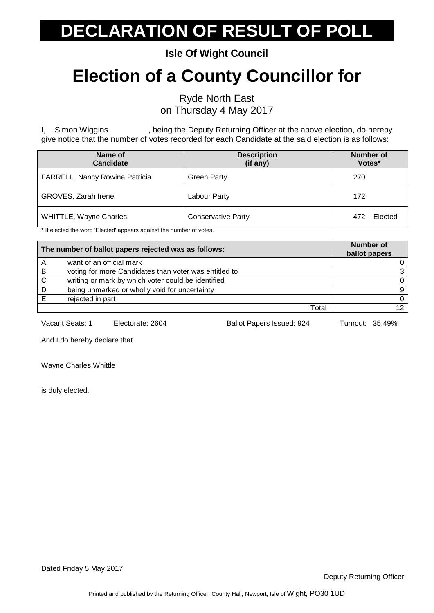**Isle Of Wight Council**

#### **Election of a County Councillor for**

Ryde North East on Thursday 4 May 2017

I, Simon Wiggins , being the Deputy Returning Officer at the above election, do hereby give notice that the number of votes recorded for each Candidate at the said election is as follows:

| Name of<br><b>Candidate</b>    | <b>Description</b><br>(if any) | <b>Number of</b><br>Votes* |
|--------------------------------|--------------------------------|----------------------------|
| FARRELL, Nancy Rowina Patricia | <b>Green Party</b>             | 270                        |
| GROVES, Zarah Irene            | Labour Party                   | 172                        |
| <b>WHITTLE, Wayne Charles</b>  | <b>Conservative Party</b>      | Elected<br>472             |

\* If elected the word 'Elected' appears against the number of votes.

|   | The number of ballot papers rejected was as follows:  | <b>Number of</b><br>ballot papers |
|---|-------------------------------------------------------|-----------------------------------|
|   | want of an official mark                              |                                   |
| B | voting for more Candidates than voter was entitled to | ิว                                |
| C | writing or mark by which voter could be identified    |                                   |
| D | being unmarked or wholly void for uncertainty         | Q                                 |
|   | rejected in part                                      |                                   |
|   | Total                                                 | 12                                |

Vacant Seats: 1 Electorate: 2604 Ballot Papers Issued: 924 Turnout: 35.49%

And I do hereby declare that

Wayne Charles Whittle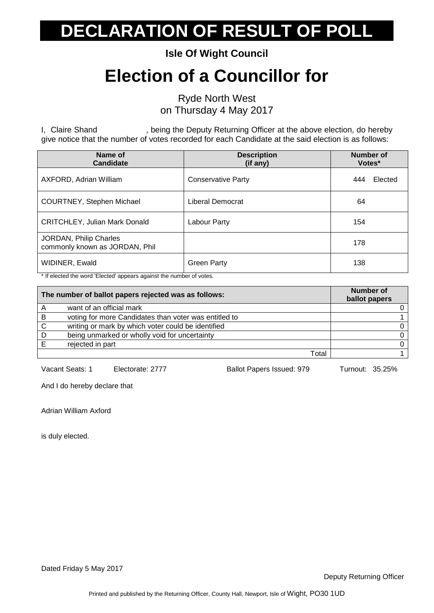**Isle Of Wight Council**

#### **Election of a Councillor for**

Ryde North West on Thursday 4 May 2017

I, Claire Shand , being the Deputy Returning Officer at the above election, do hereby give notice that the number of votes recorded for each Candidate at the said election is as follows:

| Name of<br><b>Candidate</b>                              | <b>Description</b><br>(if any) | <b>Number of</b><br>Votes* |
|----------------------------------------------------------|--------------------------------|----------------------------|
| AXFORD, Adrian William                                   | <b>Conservative Party</b>      | Elected<br>444             |
| COURTNEY, Stephen Michael                                | Liberal Democrat               | 64                         |
| <b>CRITCHLEY, Julian Mark Donald</b>                     | Labour Party                   | 154                        |
| JORDAN, Philip Charles<br>commonly known as JORDAN, Phil |                                | 178                        |
| WIDINER, Ewald                                           | <b>Green Party</b>             | 138                        |

\* If elected the word 'Elected' appears against the number of votes.

|   | The number of ballot papers rejected was as follows:  | Number of<br>ballot papers |
|---|-------------------------------------------------------|----------------------------|
|   | want of an official mark                              |                            |
| B | voting for more Candidates than voter was entitled to |                            |
| C | writing or mark by which voter could be identified    |                            |
| D | being unmarked or wholly void for uncertainty         |                            |
|   | rejected in part                                      |                            |
|   | Total                                                 |                            |

Vacant Seats: 1 Electorate: 2777 Ballot Papers Issued: 979 Turnout: 35.25%

And I do hereby declare that

Adrian William Axford

is duly elected.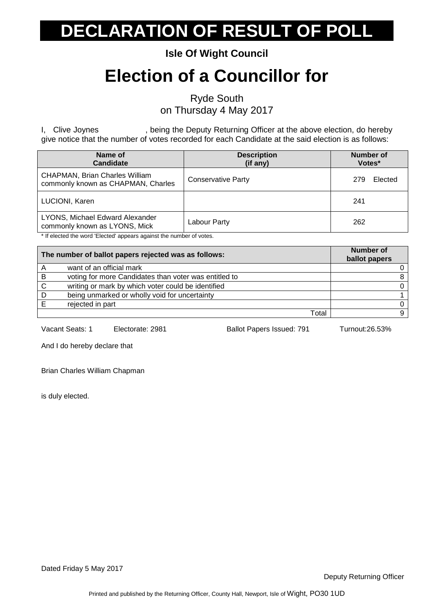**Isle Of Wight Council**

#### **Election of a Councillor for**

Ryde South

on Thursday 4 May 2017

I, Clive Joynes , being the Deputy Returning Officer at the above election, do hereby give notice that the number of votes recorded for each Candidate at the said election is as follows:

| Name of<br><b>Candidate</b>                                                 | <b>Description</b><br>(if any) | Number of<br>Votes* |
|-----------------------------------------------------------------------------|--------------------------------|---------------------|
| <b>CHAPMAN, Brian Charles William</b><br>commonly known as CHAPMAN, Charles | <b>Conservative Party</b>      | Elected<br>279      |
| LUCIONI, Karen                                                              |                                | 241                 |
| LYONS, Michael Edward Alexander<br>commonly known as LYONS, Mick            | Labour Party                   | 262                 |

\* If elected the word 'Elected' appears against the number of votes.

|   | The number of ballot papers rejected was as follows:  | Number of<br>ballot papers |
|---|-------------------------------------------------------|----------------------------|
|   | want of an official mark                              |                            |
| B | voting for more Candidates than voter was entitled to |                            |
| C | writing or mark by which voter could be identified    |                            |
| D | being unmarked or wholly void for uncertainty         |                            |
|   | rejected in part                                      |                            |
|   | Total                                                 |                            |

Vacant Seats: 1 Electorate: 2981 Ballot Papers Issued: 791 Turnout:26.53%

And I do hereby declare that

Brian Charles William Chapman

is duly elected.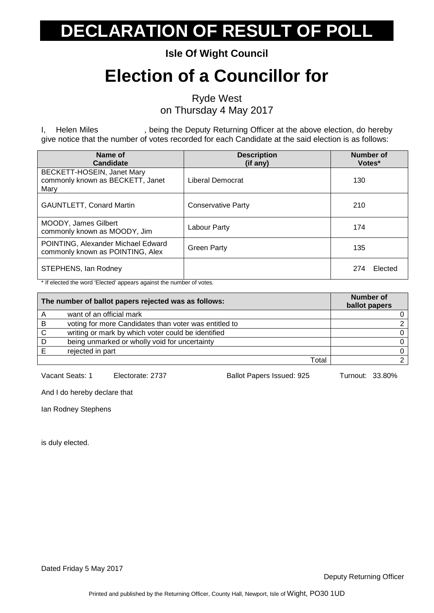**Isle Of Wight Council**

#### **Election of a Councillor for**

Ryde West

on Thursday 4 May 2017

I, Helen Miles , being the Deputy Returning Officer at the above election, do hereby give notice that the number of votes recorded for each Candidate at the said election is as follows:

| Name of<br>Candidate                                                   | <b>Description</b><br>$(if$ any) | Number of<br>Votes* |
|------------------------------------------------------------------------|----------------------------------|---------------------|
| BECKETT-HOSEIN, Janet Mary<br>commonly known as BECKETT, Janet<br>Mary | Liberal Democrat                 | 130                 |
| <b>GAUNTLETT, Conard Martin</b>                                        | <b>Conservative Party</b>        | 210                 |
| <b>MOODY, James Gilbert</b><br>commonly known as MOODY, Jim            | Labour Party                     | 174                 |
| POINTING, Alexander Michael Edward<br>commonly known as POINTING, Alex | <b>Green Party</b>               | 135                 |
| STEPHENS, Ian Rodney                                                   |                                  | Elected<br>274      |

\* If elected the word 'Elected' appears against the number of votes.

|   | The number of ballot papers rejected was as follows:  | <b>Number of</b><br>ballot papers |
|---|-------------------------------------------------------|-----------------------------------|
| A | want of an official mark                              |                                   |
| B | voting for more Candidates than voter was entitled to |                                   |
| C | writing or mark by which voter could be identified    |                                   |
| D | being unmarked or wholly void for uncertainty         |                                   |
|   | rejected in part                                      |                                   |
|   | Total                                                 |                                   |

Vacant Seats: 1 Electorate: 2737 Ballot Papers Issued: 925 Turnout: 33.80%

And I do hereby declare that

Ian Rodney Stephens

is duly elected.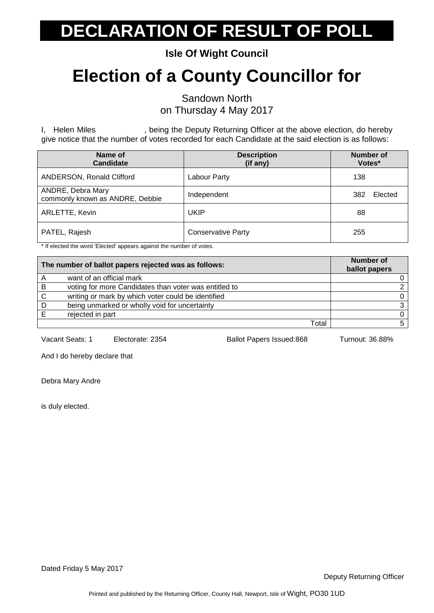**Isle Of Wight Council**

#### **Election of a County Councillor for**

Sandown North on Thursday 4 May 2017

I, Helen Miles **State is a meta-mode in the Deputy Returning Officer at the above election, do hereby** give notice that the number of votes recorded for each Candidate at the said election is as follows:

| Name of<br><b>Candidate</b>                          | <b>Description</b><br>(if any) | <b>Number of</b><br>Votes* |
|------------------------------------------------------|--------------------------------|----------------------------|
| ANDERSON, Ronald Clifford                            | Labour Party                   | 138                        |
| ANDRE, Debra Mary<br>commonly known as ANDRE, Debbie | Independent                    | 382<br>Elected             |
| ARLETTE, Kevin                                       | UKIP                           | 88                         |
| PATEL, Rajesh                                        | <b>Conservative Party</b>      | 255                        |

\* If elected the word 'Elected' appears against the number of votes.

|    | The number of ballot papers rejected was as follows:  | <b>Number of</b><br>ballot papers |
|----|-------------------------------------------------------|-----------------------------------|
|    | want of an official mark                              |                                   |
| -B | voting for more Candidates than voter was entitled to |                                   |
|    | writing or mark by which voter could be identified    |                                   |
| D  | being unmarked or wholly void for uncertainty         |                                   |
|    | rejected in part                                      |                                   |
|    | Total                                                 |                                   |

Vacant Seats: 1 Electorate: 2354 Ballot Papers Issued:868 Turnout: 36.88%

And I do hereby declare that

Debra Mary Andre

is duly elected.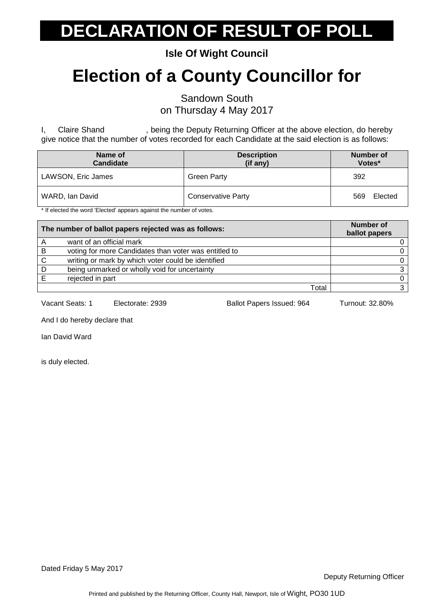**Isle Of Wight Council**

#### **Election of a County Councillor for**

Sandown South

on Thursday 4 May 2017

I, Claire Shand , being the Deputy Returning Officer at the above election, do hereby give notice that the number of votes recorded for each Candidate at the said election is as follows:

| Name of<br><b>Candidate</b>                                                                                     | <b>Description</b><br>(if any) | Number of<br>Votes* |
|-----------------------------------------------------------------------------------------------------------------|--------------------------------|---------------------|
| LAWSON, Eric James                                                                                              | <b>Green Party</b>             | 392                 |
| WARD, Ian David<br>→ If the created a constant IEI correlations a construction of a construction of correlation | <b>Conservative Party</b>      | Elected<br>569      |

If elected the word 'Elected' appears against the number of votes.

| The number of ballot papers rejected was as follows: |                                                       | <b>Number of</b><br>ballot papers |
|------------------------------------------------------|-------------------------------------------------------|-----------------------------------|
|                                                      | want of an official mark                              |                                   |
| В                                                    | voting for more Candidates than voter was entitled to |                                   |
| C                                                    | writing or mark by which voter could be identified    |                                   |
| D                                                    | being unmarked or wholly void for uncertainty         |                                   |
|                                                      | rejected in part                                      |                                   |
|                                                      | Total                                                 |                                   |

Vacant Seats: 1 Electorate: 2939 Ballot Papers Issued: 964 Turnout: 32.80%

And I do hereby declare that

Ian David Ward

is duly elected.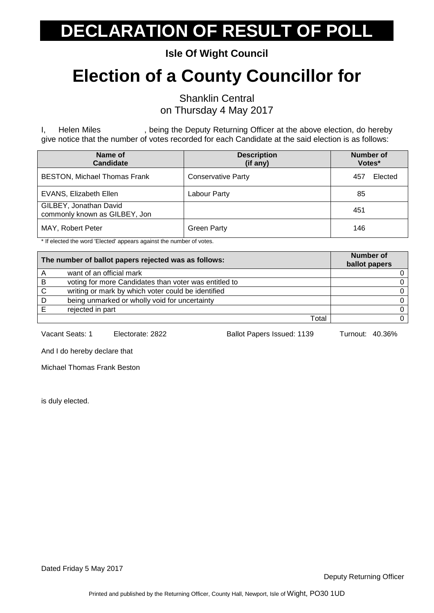**Isle Of Wight Council**

#### **Election of a County Councillor for**

Shanklin Central on Thursday 4 May 2017

I, Helen Miles , being the Deputy Returning Officer at the above election, do hereby give notice that the number of votes recorded for each Candidate at the said election is as follows:

| Name of<br><b>Candidate</b>                             | <b>Description</b><br>(if any) | Number of<br>Votes* |
|---------------------------------------------------------|--------------------------------|---------------------|
| <b>BESTON, Michael Thomas Frank</b>                     | <b>Conservative Party</b>      | Elected<br>457      |
| <b>EVANS, Elizabeth Ellen</b>                           | Labour Party                   | 85                  |
| GILBEY, Jonathan David<br>commonly known as GILBEY, Jon |                                | 451                 |
| MAY, Robert Peter                                       | <b>Green Party</b>             | 146                 |

\* If elected the word 'Elected' appears against the number of votes.

| The number of ballot papers rejected was as follows: |                                                       | <b>Number of</b><br>ballot papers |
|------------------------------------------------------|-------------------------------------------------------|-----------------------------------|
| A                                                    | want of an official mark                              |                                   |
| -B                                                   | voting for more Candidates than voter was entitled to |                                   |
| C.                                                   | writing or mark by which voter could be identified    |                                   |
| D                                                    | being unmarked or wholly void for uncertainty         |                                   |
|                                                      | rejected in part                                      |                                   |
|                                                      | Total                                                 |                                   |

Vacant Seats: 1 Electorate: 2822 Ballot Papers Issued: 1139 Turnout: 40.36%

And I do hereby declare that

Michael Thomas Frank Beston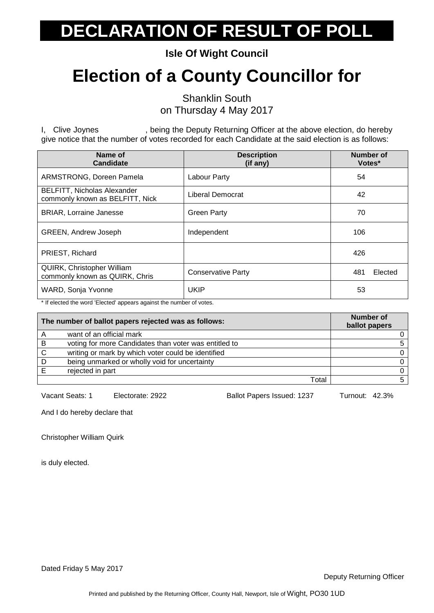**Isle Of Wight Council**

#### **Election of a County Councillor for**

Shanklin South on Thursday 4 May 2017

I, Clive Joynes , being the Deputy Returning Officer at the above election, do hereby give notice that the number of votes recorded for each Candidate at the said election is as follows:

| Name of<br><b>Candidate</b>                                           | <b>Description</b><br>(if any) | <b>Number of</b><br>Votes* |
|-----------------------------------------------------------------------|--------------------------------|----------------------------|
| ARMSTRONG, Doreen Pamela                                              | Labour Party                   | 54                         |
| <b>BELFITT, Nicholas Alexander</b><br>commonly known as BELFITT, Nick | Liberal Democrat               | 42                         |
| <b>BRIAR, Lorraine Janesse</b>                                        | <b>Green Party</b>             | 70                         |
| <b>GREEN, Andrew Joseph</b>                                           | Independent                    | 106                        |
| PRIEST, Richard                                                       |                                | 426                        |
| <b>QUIRK, Christopher William</b><br>commonly known as QUIRK, Chris   | <b>Conservative Party</b>      | 481<br>Elected             |
| WARD, Sonja Yvonne                                                    | <b>UKIP</b>                    | 53                         |

\* If elected the word 'Elected' appears against the number of votes.

| The number of ballot papers rejected was as follows: |                                                       | <b>Number of</b><br>ballot papers |
|------------------------------------------------------|-------------------------------------------------------|-----------------------------------|
|                                                      | want of an official mark                              |                                   |
| B                                                    | voting for more Candidates than voter was entitled to |                                   |
| C                                                    | writing or mark by which voter could be identified    |                                   |
| D                                                    | being unmarked or wholly void for uncertainty         |                                   |
|                                                      | rejected in part                                      |                                   |
|                                                      | Total                                                 |                                   |

Vacant Seats: 1 Electorate: 2922 Ballot Papers Issued: 1237 Turnout: 42.3%

And I do hereby declare that

Christopher William Quirk

is duly elected.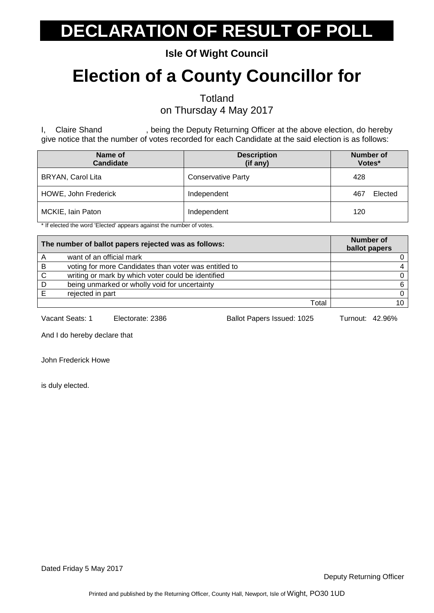**Isle Of Wight Council**

#### **Election of a County Councillor for**

**Totland** 

on Thursday 4 May 2017

I, Claire Shand , being the Deputy Returning Officer at the above election, do hereby give notice that the number of votes recorded for each Candidate at the said election is as follows:

| Name of<br><b>Candidate</b> | <b>Description</b><br>(if any) | <b>Number of</b><br>Votes* |
|-----------------------------|--------------------------------|----------------------------|
| BRYAN, Carol Lita           | <b>Conservative Party</b>      | 428                        |
| HOWE, John Frederick        | Independent                    | Elected<br>467             |
| MCKIE, Iain Paton           | Independent                    | 120                        |

\* If elected the word 'Elected' appears against the number of votes.

| The number of ballot papers rejected was as follows: |                                                       | <b>Number of</b><br>ballot papers |
|------------------------------------------------------|-------------------------------------------------------|-----------------------------------|
|                                                      | want of an official mark                              |                                   |
| B                                                    | voting for more Candidates than voter was entitled to |                                   |
| C                                                    | writing or mark by which voter could be identified    | 0                                 |
| D                                                    | being unmarked or wholly void for uncertainty         | 6                                 |
|                                                      | rejected in part                                      | 0                                 |
|                                                      | Total                                                 | 10                                |

Vacant Seats: 1 Electorate: 2386 Ballot Papers Issued: 1025 Turnout: 42.96%

And I do hereby declare that

John Frederick Howe

is duly elected.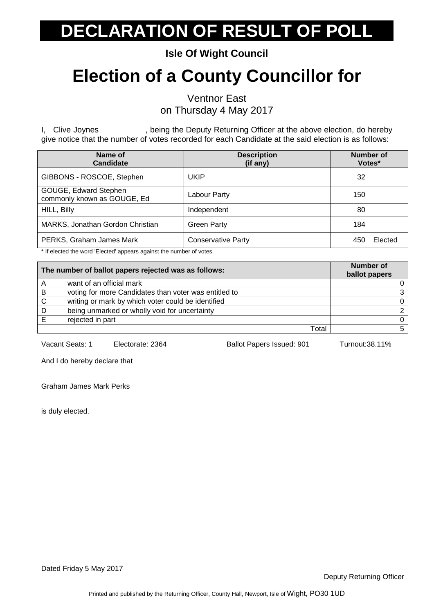**Isle Of Wight Council**

#### **Election of a County Councillor for**

Ventnor East on Thursday 4 May 2017

I, Clive Joynes , being the Deputy Returning Officer at the above election, do hereby give notice that the number of votes recorded for each Candidate at the said election is as follows:

| Name of<br><b>Candidate</b>                          | <b>Description</b><br>(if any)                    | <b>Number of</b><br>Votes* |
|------------------------------------------------------|---------------------------------------------------|----------------------------|
| GIBBONS - ROSCOE, Stephen                            | UKIP                                              | 32                         |
| GOUGE, Edward Stephen<br>commonly known as GOUGE, Ed | Labour Party                                      | 150                        |
| HILL, Billy                                          | Independent                                       | 80                         |
| <b>MARKS, Jonathan Gordon Christian</b>              | <b>Green Party</b>                                | 184                        |
| PERKS, Graham James Mark<br>$\cdot$ $\cdot$ $\cdot$  | <b>Conservative Party</b><br>$\sim$ $\sim$ $\sim$ | Elected<br>450             |

\* If elected the word 'Elected' appears against the number of votes.

| The number of ballot papers rejected was as follows: |                                                       | <b>Number of</b><br>ballot papers |
|------------------------------------------------------|-------------------------------------------------------|-----------------------------------|
|                                                      | want of an official mark                              |                                   |
| B                                                    | voting for more Candidates than voter was entitled to | ٩                                 |
| C                                                    | writing or mark by which voter could be identified    | 0                                 |
|                                                      | being unmarked or wholly void for uncertainty         |                                   |
|                                                      | rejected in part                                      | 0                                 |
|                                                      | Total                                                 |                                   |

Vacant Seats: 1 Electorate: 2364 Ballot Papers Issued: 901 Turnout:38.11%

And I do hereby declare that

Graham James Mark Perks

is duly elected.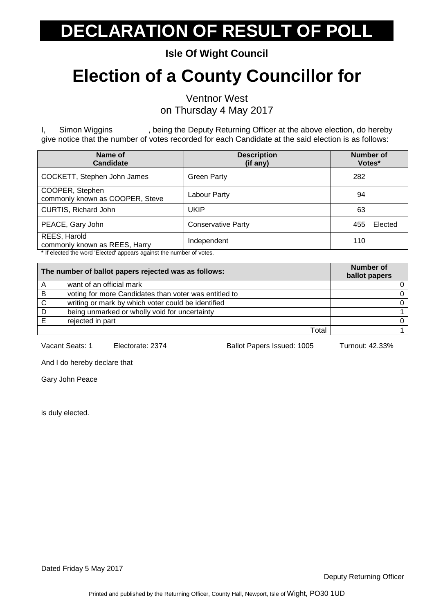**Isle Of Wight Council**

#### **Election of a County Councillor for**

Ventnor West on Thursday 4 May 2017

I, Simon Wiggins , being the Deputy Returning Officer at the above election, do hereby give notice that the number of votes recorded for each Candidate at the said election is as follows:

| Name of<br><b>Candidate</b>                                          | <b>Description</b><br>(if any) | Number of<br>Votes* |
|----------------------------------------------------------------------|--------------------------------|---------------------|
| COCKETT, Stephen John James                                          | <b>Green Party</b>             | 282                 |
| COOPER, Stephen<br>commonly known as COOPER, Steve                   | Labour Party                   | 94                  |
| CURTIS, Richard John                                                 | <b>UKIP</b>                    | 63                  |
| PEACE, Gary John                                                     | <b>Conservative Party</b>      | 455<br>Elected      |
| REES, Harold<br>commonly known as REES, Harry                        | Independent                    | 110                 |
| * If elected the word 'Elected' appears against the number of votes. |                                |                     |

| The number of ballot papers rejected was as follows: |                                                       | Number of<br>ballot papers |
|------------------------------------------------------|-------------------------------------------------------|----------------------------|
|                                                      | want of an official mark                              |                            |
| B                                                    | voting for more Candidates than voter was entitled to |                            |
|                                                      | writing or mark by which voter could be identified    |                            |
| D                                                    | being unmarked or wholly void for uncertainty         |                            |
|                                                      | rejected in part                                      |                            |
|                                                      | Total                                                 |                            |

Vacant Seats: 1 Electorate: 2374 Ballot Papers Issued: 1005 Turnout: 42.33%

And I do hereby declare that

Gary John Peace

is duly elected.

Dated Friday 5 May 2017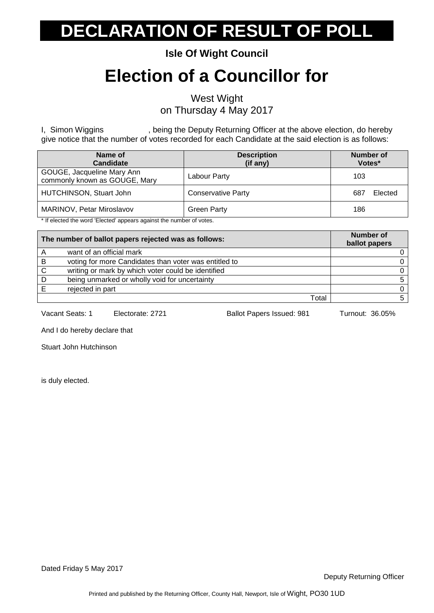**Isle Of Wight Council**

#### **Election of a Councillor for**

West Wight on Thursday 4 May 2017

I, Simon Wiggins , being the Deputy Returning Officer at the above election, do hereby give notice that the number of votes recorded for each Candidate at the said election is as follows:

| Name of<br><b>Candidate</b>                                 | <b>Description</b><br>(if any) | Number of<br>Votes* |
|-------------------------------------------------------------|--------------------------------|---------------------|
| GOUGE, Jacqueline Mary Ann<br>commonly known as GOUGE, Mary | Labour Party                   | 103                 |
| HUTCHINSON, Stuart John                                     | <b>Conservative Party</b>      | Elected<br>687      |
| MARINOV, Petar Miroslavov                                   | <b>Green Party</b>             | 186                 |

\* If elected the word 'Elected' appears against the number of votes.

| The number of ballot papers rejected was as follows: |                                                       | <b>Number of</b><br>ballot papers |
|------------------------------------------------------|-------------------------------------------------------|-----------------------------------|
|                                                      | want of an official mark                              |                                   |
| B                                                    | voting for more Candidates than voter was entitled to |                                   |
| C.                                                   | writing or mark by which voter could be identified    |                                   |
| D                                                    | being unmarked or wholly void for uncertainty         |                                   |
|                                                      | rejected in part                                      |                                   |
|                                                      | Total                                                 |                                   |

Vacant Seats: 1 Electorate: 2721 Ballot Papers Issued: 981 Turnout: 36.05%

And I do hereby declare that

Stuart John Hutchinson

is duly elected.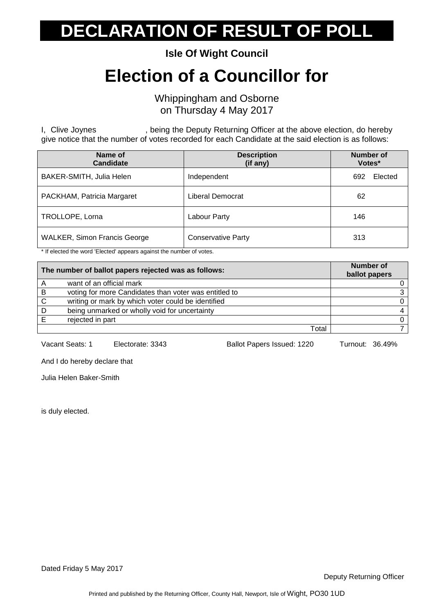**Isle Of Wight Council**

#### **Election of a Councillor for**

Whippingham and Osborne on Thursday 4 May 2017

I, Clive Joynes , being the Deputy Returning Officer at the above election, do hereby give notice that the number of votes recorded for each Candidate at the said election is as follows:

| Name of<br><b>Candidate</b>         | <b>Description</b><br>(if any) | <b>Number of</b><br>Votes* |
|-------------------------------------|--------------------------------|----------------------------|
| BAKER-SMITH, Julia Helen            | Independent                    | Elected<br>692             |
| PACKHAM, Patricia Margaret          | Liberal Democrat               | 62                         |
| TROLLOPE, Lorna                     | Labour Party                   | 146                        |
| <b>WALKER, Simon Francis George</b> | <b>Conservative Party</b>      | 313                        |

\* If elected the word 'Elected' appears against the number of votes.

| The number of ballot papers rejected was as follows: |                                                       | <b>Number of</b><br>ballot papers |
|------------------------------------------------------|-------------------------------------------------------|-----------------------------------|
| A                                                    | want of an official mark                              |                                   |
| -B                                                   | voting for more Candidates than voter was entitled to |                                   |
| C.                                                   | writing or mark by which voter could be identified    |                                   |
| D                                                    | being unmarked or wholly void for uncertainty         |                                   |
|                                                      | rejected in part                                      |                                   |
|                                                      | Total                                                 |                                   |

Vacant Seats: 1 Electorate: 3343 Ballot Papers Issued: 1220 Turnout: 36.49%

And I do hereby declare that

Julia Helen Baker-Smith

is duly elected.